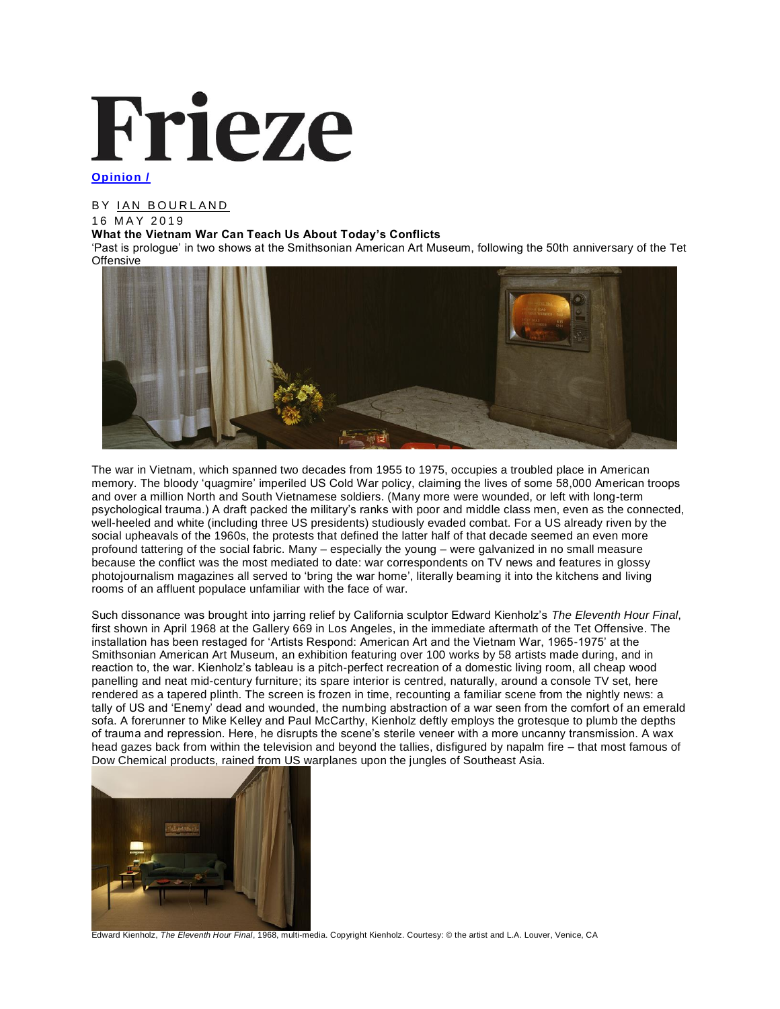# Frieze

# **Opinion /**

# BY IAN BOURLAND

# 1 6 M A Y 2 0 1 9

## **What the Vietnam War Can Teach Us About Today's Conflicts**

'Past is prologue' in two shows at the Smithsonian American Art Museum, following the 50th anniversary of the Tet **Offensive** 



The war in Vietnam, which spanned two decades from 1955 to 1975, occupies a troubled place in American memory. The bloody 'quagmire' imperiled US Cold War policy, claiming the lives of some 58,000 American troops and over a million North and South Vietnamese soldiers. (Many more were wounded, or left with long-term psychological trauma.) A draft packed the military's ranks with poor and middle class men, even as the connected, well-heeled and white (including three US presidents) studiously evaded combat. For a US already riven by the social upheavals of the 1960s, the protests that defined the latter half of that decade seemed an even more profound tattering of the social fabric. Many – especially the young – were galvanized in no small measure because the conflict was the most mediated to date: war correspondents on TV news and features in glossy photojournalism magazines all served to 'bring the war home', literally beaming it into the kitchens and living rooms of an affluent populace unfamiliar with the face of war.

Such dissonance was brought into jarring relief by California sculptor Edward Kienholz's *The Eleventh Hour Final*, first shown in April 1968 at the Gallery 669 in Los Angeles, in the immediate aftermath of the Tet Offensive. The installation has been restaged for 'Artists Respond: American Art and the Vietnam War, 1965-1975' at the Smithsonian American Art Museum, an exhibition featuring over 100 works by 58 artists made during, and in reaction to, the war. Kienholz's tableau is a pitch-perfect recreation of a domestic living room, all cheap wood panelling and neat mid-century furniture; its spare interior is centred, naturally, around a console TV set, here rendered as a tapered plinth. The screen is frozen in time, recounting a familiar scene from the nightly news: a tally of US and 'Enemy' dead and wounded, the numbing abstraction of a war seen from the comfort of an emerald sofa. A forerunner to Mike Kelley and Paul McCarthy, Kienholz deftly employs the grotesque to plumb the depths of trauma and repression. Here, he disrupts the scene's sterile veneer with a more uncanny transmission. A wax head gazes back from within the television and beyond the tallies, disfigured by napalm fire – that most famous of Dow Chemical products, rained from US warplanes upon the jungles of Southeast Asia.



Edward Kienholz, *The Eleventh Hour Final*, 1968, multi-media. Copyright Kienholz. Courtesy: © the artist and L.A. Louver, Venice, CA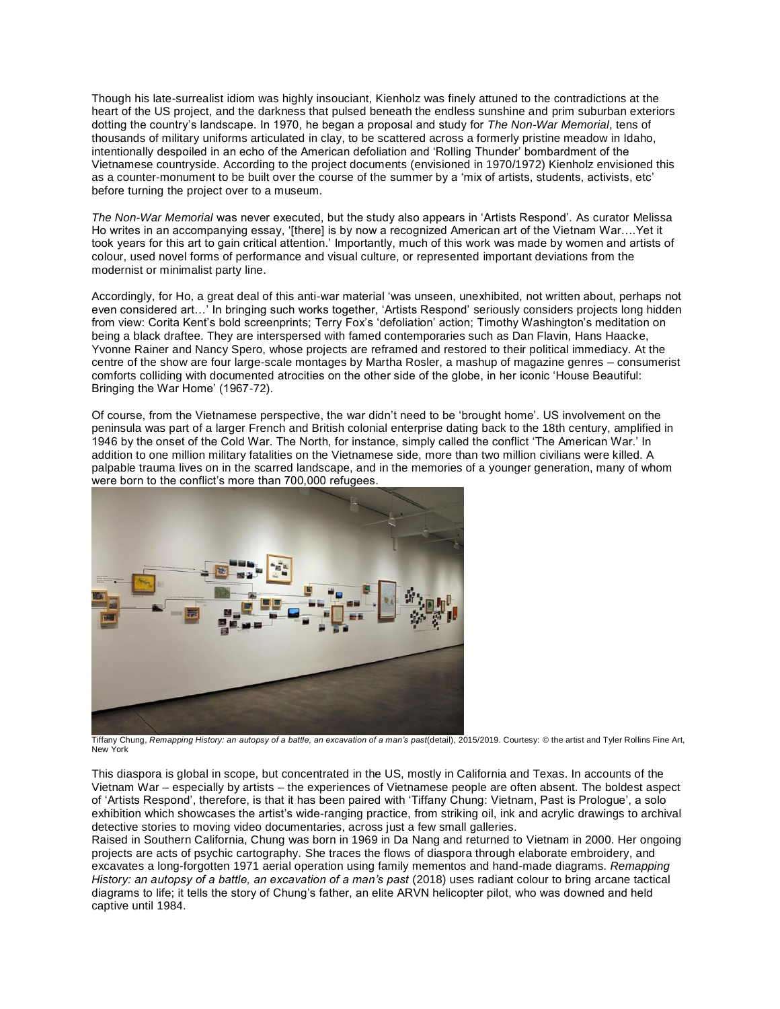Though his late-surrealist idiom was highly insouciant, Kienholz was finely attuned to the contradictions at the heart of the US project, and the darkness that pulsed beneath the endless sunshine and prim suburban exteriors dotting the country's landscape. In 1970, he began a proposal and study for *The Non-War Memorial*, tens of thousands of military uniforms articulated in clay, to be scattered across a formerly pristine meadow in Idaho, intentionally despoiled in an echo of the American defoliation and 'Rolling Thunder' bombardment of the Vietnamese countryside. According to the project documents (envisioned in 1970/1972) Kienholz envisioned this as a counter-monument to be built over the course of the summer by a 'mix of artists, students, activists, etc' before turning the project over to a museum.

*The Non-War Memorial* was never executed, but the study also appears in 'Artists Respond'*.* As curator Melissa Ho writes in an accompanying essay, '[there] is by now a recognized American art of the Vietnam War....Yet it took years for this art to gain critical attention.' Importantly, much of this work was made by women and artists of colour, used novel forms of performance and visual culture, or represented important deviations from the modernist or minimalist party line.

Accordingly, for Ho, a great deal of this anti-war material 'was unseen, unexhibited, not written about, perhaps not even considered art…' In bringing such works together, 'Artists Respond' seriously considers projects long hidden from view: Corita Kent's bold screenprints; Terry Fox's 'defoliation' action; Timothy Washington's meditation on being a black draftee. They are interspersed with famed contemporaries such as Dan Flavin, Hans Haacke, Yvonne Rainer and Nancy Spero, whose projects are reframed and restored to their political immediacy. At the centre of the show are four large-scale montages by Martha Rosler, a mashup of magazine genres – consumerist comforts colliding with documented atrocities on the other side of the globe, in her iconic 'House Beautiful: Bringing the War Home' (1967-72).

Of course, from the Vietnamese perspective, the war didn't need to be 'brought home'. US involvement on the peninsula was part of a larger French and British colonial enterprise dating back to the 18th century, amplified in 1946 by the onset of the Cold War. The North, for instance, simply called the conflict 'The American War.' In addition to one million military fatalities on the Vietnamese side, more than two million civilians were killed. A palpable trauma lives on in the scarred landscape, and in the memories of a younger generation, many of whom were born to the conflict's more than 700,000 refugees.



Tiffany Chung, *Remapping History: an autopsy of a battle, an excavation of a man's past*(detail), 2015/2019. Courtesy: © the artist and Tyler Rollins Fine Art, New York

This diaspora is global in scope, but concentrated in the US, mostly in California and Texas. In accounts of the Vietnam War – especially by artists – the experiences of Vietnamese people are often absent. The boldest aspect of 'Artists Respond', therefore, is that it has been paired with 'Tiffany Chung: Vietnam, Past is Prologue', a solo exhibition which showcases the artist's wide-ranging practice, from striking oil, ink and acrylic drawings to archival detective stories to moving video documentaries, across just a few small galleries.

Raised in Southern California, Chung was born in 1969 in Da Nang and returned to Vietnam in 2000. Her ongoing projects are acts of psychic cartography. She traces the flows of diaspora through elaborate embroidery, and excavates a long-forgotten 1971 aerial operation using family mementos and hand-made diagrams. *Remapping History: an autopsy of a battle, an excavation of a man's past* (2018) uses radiant colour to bring arcane tactical diagrams to life; it tells the story of Chung's father, an elite ARVN helicopter pilot, who was downed and held captive until 1984.